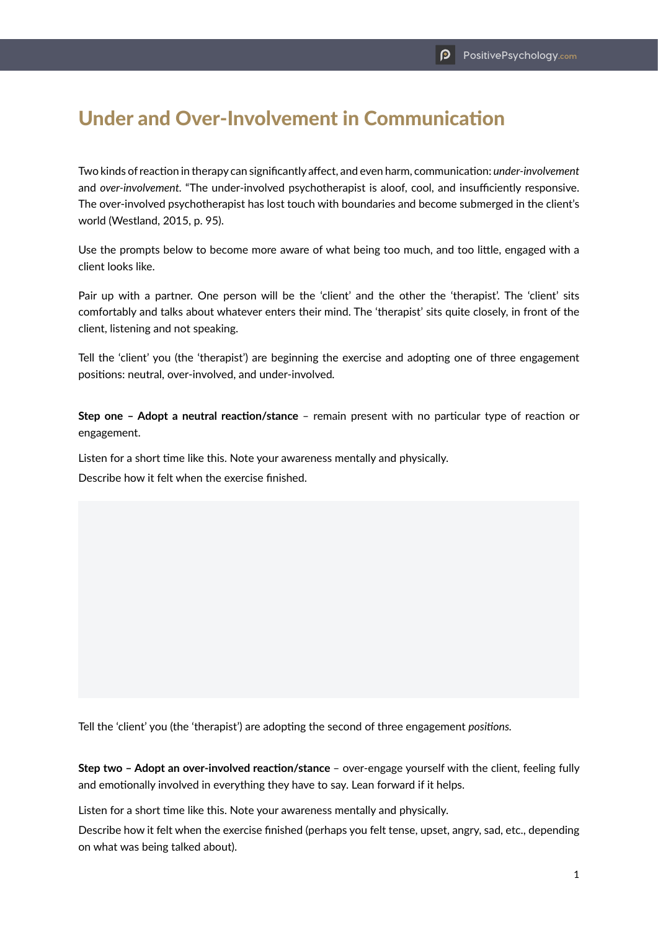## Under and Over-Involvement in Communication

Two kinds of reaction in therapy can significantly affect, and even harm, communication: *under-involvement*  and *over-involvement.* "The under-involved psychotherapist is aloof, cool, and insufficiently responsive. The over-involved psychotherapist has lost touch with boundaries and become submerged in the client's world (Westland, 2015, p. 95).

Use the prompts below to become more aware of what being too much, and too little, engaged with a client looks like.

Pair up with a partner. One person will be the 'client' and the other the 'therapist'. The 'client' sits comfortably and talks about whatever enters their mind. The 'therapist' sits quite closely, in front of the client, listening and not speaking.

Tell the 'client' you (the 'therapist') are beginning the exercise and adopting one of three engagement positions: neutral, over-involved, and under-involved*.*

**Step one – Adopt a neutral reaction/stance** – remain present with no particular type of reaction or engagement.

Listen for a short time like this. Note your awareness mentally and physically. Describe how it felt when the exercise finished.

Tell the 'client' you (the 'therapist') are adopting the second of three engagement *positions.*

**Step two – Adopt an over-involved reaction/stance** – over-engage yourself with the client, feeling fully and emotionally involved in everything they have to say. Lean forward if it helps.

Listen for a short time like this. Note your awareness mentally and physically.

Describe how it felt when the exercise finished (perhaps you felt tense, upset, angry, sad, etc., depending on what was being talked about).